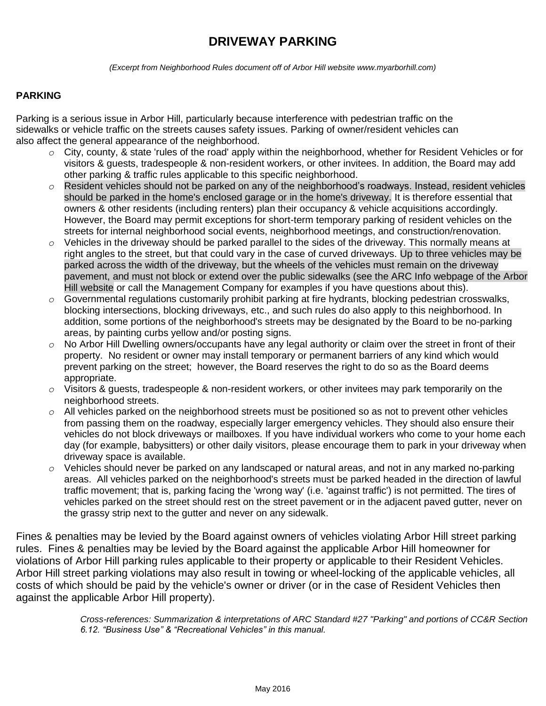# **DRIVEWAY PARKING**

*(Excerpt from Neighborhood Rules document off of Arbor Hill website www.myarborhill.com)*

#### **PARKING**

Parking is a serious issue in Arbor Hill, particularly because interference with pedestrian traffic on the sidewalks or vehicle traffic on the streets causes safety issues. Parking of owner/resident vehicles can also affect the general appearance of the neighborhood.

- *o* City, county, & state 'rules of the road' apply within the neighborhood, whether for Resident Vehicles or for visitors & guests, tradespeople & non-resident workers, or other invitees. In addition, the Board may add other parking & traffic rules applicable to this specific neighborhood.
- *o* Resident vehicles should not be parked on any of the neighborhood's roadways. Instead, resident vehicles should be parked in the home's enclosed garage or in the home's driveway. It is therefore essential that owners & other residents (including renters) plan their occupancy & vehicle acquisitions accordingly. However, the Board may permit exceptions for short-term temporary parking of resident vehicles on the streets for internal neighborhood social events, neighborhood meetings, and construction/renovation.
- *o* Vehicles in the driveway should be parked parallel to the sides of the driveway. This normally means at right angles to the street, but that could vary in the case of curved driveways. Up to three vehicles may be parked across the width of the driveway, but the wheels of the vehicles must remain on the driveway pavement, and must not block or extend over the public sidewalks (see the ARC Info webpage of the Arbor Hill website or call the Management Company for examples if you have questions about this).
- *o* Governmental regulations customarily prohibit parking at fire hydrants, blocking pedestrian crosswalks, blocking intersections, blocking driveways, etc., and such rules do also apply to this neighborhood. In addition, some portions of the neighborhood's streets may be designated by the Board to be no-parking areas, by painting curbs yellow and/or posting signs.
- *o* No Arbor Hill Dwelling owners/occupants have any legal authority or claim over the street in front of their property. No resident or owner may install temporary or permanent barriers of any kind which would prevent parking on the street; however, the Board reserves the right to do so as the Board deems appropriate.
- *o* Visitors & guests, tradespeople & non-resident workers, or other invitees may park temporarily on the neighborhood streets.
- *o* All vehicles parked on the neighborhood streets must be positioned so as not to prevent other vehicles from passing them on the roadway, especially larger emergency vehicles. They should also ensure their vehicles do not block driveways or mailboxes. If you have individual workers who come to your home each day (for example, babysitters) or other daily visitors, please encourage them to park in your driveway when driveway space is available.
- *o* Vehicles should never be parked on any landscaped or natural areas, and not in any marked no-parking areas. All vehicles parked on the neighborhood's streets must be parked headed in the direction of lawful traffic movement; that is, parking facing the 'wrong way' (i.e. 'against traffic') is not permitted. The tires of vehicles parked on the street should rest on the street pavement or in the adjacent paved gutter, never on the grassy strip next to the gutter and never on any sidewalk.

Fines & penalties may be levied by the Board against owners of vehicles violating Arbor Hill street parking rules. Fines & penalties may be levied by the Board against the applicable Arbor Hill homeowner for violations of Arbor Hill parking rules applicable to their property or applicable to their Resident Vehicles. Arbor Hill street parking violations may also result in towing or wheel-locking of the applicable vehicles, all costs of which should be paid by the vehicle's owner or driver (or in the case of Resident Vehicles then against the applicable Arbor Hill property).

> *Cross-references: Summarization & interpretations of ARC Standard #27 "Parking" and portions of CC&R Section 6.12. "Business Use" & "Recreational Vehicles" in this manual.*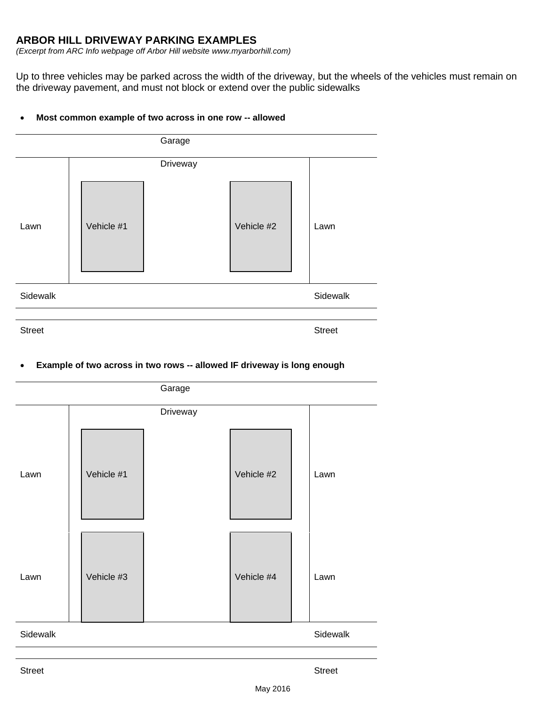## **ARBOR HILL DRIVEWAY PARKING EXAMPLES**

*(Excerpt from ARC Info webpage off Arbor Hill website www.myarborhill.com)*

Up to three vehicles may be parked across the width of the driveway, but the wheels of the vehicles must remain on the driveway pavement, and must not block or extend over the public sidewalks

#### **Most common example of two across in one row -- allowed**



### **Example of two across in two rows -- allowed IF driveway is long enough**

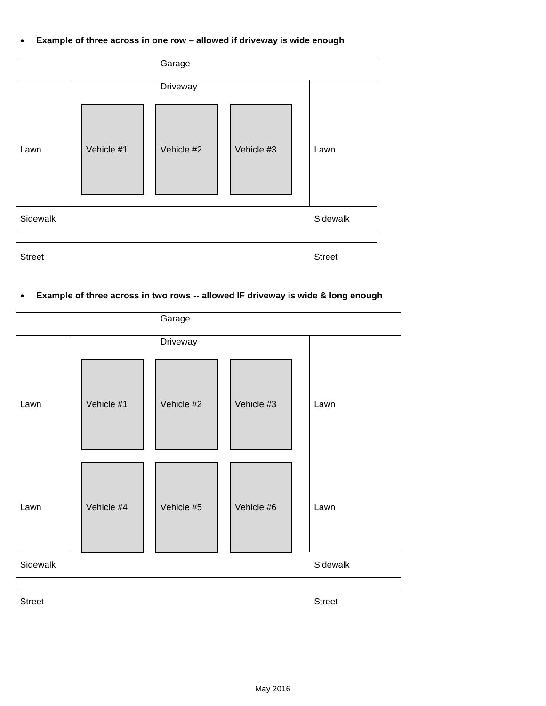**Example of three across in one row – allowed if driveway is wide enough**



# **Example of three across in two rows -- allowed IF driveway is wide & long enough**



Street Street Street Street Street Street Street Street Street Street Street Street Street Street Street Street